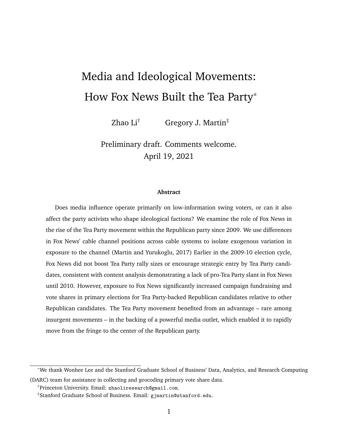# <span id="page-0-0"></span>Media and Ideological Movements: How Fox News Built the Tea Party\*

Zhao Li<sup>†</sup> Gregory J. Martin<sup>‡</sup>

Preliminary draft. Comments welcome. April 19, 2021

#### **Abstract**

Does media influence operate primarily on low-information swing voters, or can it also affect the party activists who shape ideological factions? We examine the role of Fox News in the rise of the Tea Party movement within the Republican party since 2009. We use differences in Fox News' cable channel positions across cable systems to isolate exogenous variation in exposure to the channel [\(Martin and Yurukoglu, 2017\)](#page-25-0) Earlier in the 2009-10 election cycle, Fox News did not boost Tea Party rally sizes or encourage strategic entry by Tea Party candidates, consistent with content analysis demonstrating a lack of pro-Tea Party slant in Fox News until 2010. However, exposure to Fox News significantly increased campaign fundraising and vote shares in primary elections for Tea Party-backed Republican candidates relative to other Republican candidates. The Tea Party movement benefited from an advantage – rare among insurgent movements – in the backing of a powerful media outlet, which enabled it to rapidly move from the fringe to the center of the Republican party.

<sup>\*</sup>We thank Wonhee Lee and the Stanford Graduate School of Business' Data, Analytics, and Research Computing (DARC) team for assistance in collecting and geocoding primary vote share data.

<sup>†</sup>Princeton University. Email: <zhaoliresearch@gmail.com>.

<sup>‡</sup>Stanford Graduate School of Business. Email: <gjmartin@stanford.edu>.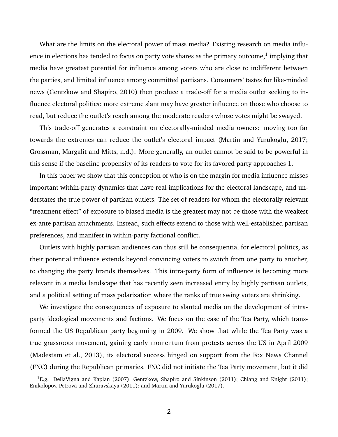What are the limits on the electoral power of mass media? Existing research on media influence in elections has tended to focus on party vote shares as the primary outcome, $^1$  $^1$  implying that media have greatest potential for influence among voters who are close to indifferent between the parties, and limited influence among committed partisans. Consumers' tastes for like-minded news [\(Gentzkow and Shapiro, 2010\)](#page-24-0) then produce a trade-off for a media outlet seeking to influence electoral politics: more extreme slant may have greater influence on those who choose to read, but reduce the outlet's reach among the moderate readers whose votes might be swayed.

This trade-off generates a constraint on electorally-minded media owners: moving too far towards the extremes can reduce the outlet's electoral impact [\(Martin and Yurukoglu, 2017;](#page-25-0) [Grossman, Margalit and Mitts, n.d.\)](#page-24-1). More generally, an outlet cannot be said to be powerful in this sense if the baseline propensity of its readers to vote for its favored party approaches 1.

In this paper we show that this conception of who is on the margin for media influence misses important within-party dynamics that have real implications for the electoral landscape, and understates the true power of partisan outlets. The set of readers for whom the electorally-relevant "treatment effect" of exposure to biased media is the greatest may not be those with the weakest ex-ante partisan attachments. Instead, such effects extend to those with well-established partisan preferences, and manifest in within-party factional conflict.

Outlets with highly partisan audiences can thus still be consequential for electoral politics, as their potential influence extends beyond convincing voters to switch from one party to another, to changing the party brands themselves. This intra-party form of influence is becoming more relevant in a media landscape that has recently seen increased entry by highly partisan outlets, and a political setting of mass polarization where the ranks of true swing voters are shrinking.

We investigate the consequences of exposure to slanted media on the development of intraparty ideological movements and factions. We focus on the case of the Tea Party, which transformed the US Republican party beginning in 2009. We show that while the Tea Party was a true grassroots movement, gaining early momentum from protests across the US in April 2009 [\(Madestam et al., 2013\)](#page-25-1), its electoral success hinged on support from the Fox News Channel (FNC) during the Republican primaries. FNC did not initiate the Tea Party movement, but it did

<sup>&</sup>lt;sup>1</sup>E.g. [DellaVigna and Kaplan](#page-24-2) [\(2007\)](#page-24-2); [Gentzkow, Shapiro and Sinkinson](#page-24-3) [\(2011\)](#page-24-4); [Chiang and Knight](#page-24-4) (2011); [Enikolopov, Petrova and Zhuravskaya](#page-24-5) [\(2011\)](#page-24-5); and [Martin and Yurukoglu](#page-25-0) [\(2017\)](#page-25-0).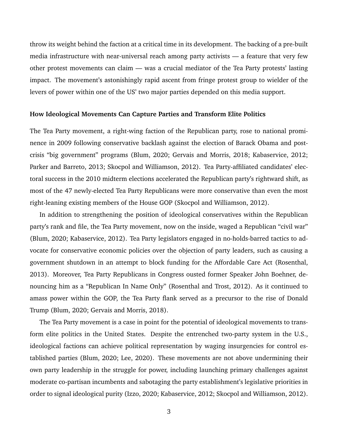throw its weight behind the faction at a critical time in its development. The backing of a pre-built media infrastructure with near-universal reach among party activists — a feature that very few other protest movements can claim — was a crucial mediator of the Tea Party protests' lasting impact. The movement's astonishingly rapid ascent from fringe protest group to wielder of the levers of power within one of the US' two major parties depended on this media support.

#### **How Ideological Movements Can Capture Parties and Transform Elite Politics**

The Tea Party movement, a right-wing faction of the Republican party, rose to national prominence in 2009 following conservative backlash against the election of Barack Obama and postcrisis "big government" programs [\(Blum, 2020;](#page-24-6) [Gervais and Morris, 2018;](#page-24-7) [Kabaservice, 2012;](#page-25-2) [Parker and Barreto, 2013;](#page-25-3) [Skocpol and Williamson, 2012\)](#page-26-0). Tea Party-affiliated candidates' electoral success in the 2010 midterm elections accelerated the Republican party's rightward shift, as most of the 47 newly-elected Tea Party Republicans were more conservative than even the most right-leaning existing members of the House GOP [\(Skocpol and Williamson, 2012\)](#page-26-0).

In addition to strengthening the position of ideological conservatives within the Republican party's rank and file, the Tea Party movement, now on the inside, waged a Republican "civil war" [\(Blum, 2020;](#page-24-6) [Kabaservice, 2012\)](#page-25-2). Tea Party legislators engaged in no-holds-barred tactics to advocate for conservative economic policies over the objection of party leaders, such as causing a government shutdown in an attempt to block funding for the Affordable Care Act [\(Rosenthal,](#page-25-4) [2013\)](#page-25-4). Moreover, Tea Party Republicans in Congress ousted former Speaker John Boehner, denouncing him as a "Republican In Name Only" [\(Rosenthal and Trost, 2012\)](#page-25-5). As it continued to amass power within the GOP, the Tea Party flank served as a precursor to the rise of Donald Trump [\(Blum, 2020;](#page-24-6) [Gervais and Morris, 2018\)](#page-24-7).

The Tea Party movement is a case in point for the potential of ideological movements to transform elite politics in the United States. Despite the entrenched two-party system in the U.S., ideological factions can achieve political representation by waging insurgencies for control established parties [\(Blum, 2020;](#page-24-6) [Lee, 2020\)](#page-25-6). These movements are not above undermining their own party leadership in the struggle for power, including launching primary challenges against moderate co-partisan incumbents and sabotaging the party establishment's legislative priorities in order to signal ideological purity [\(Izzo, 2020;](#page-25-7) [Kabaservice, 2012;](#page-25-2) [Skocpol and Williamson, 2012\)](#page-26-0).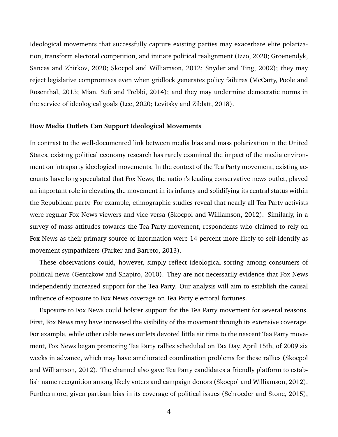Ideological movements that successfully capture existing parties may exacerbate elite polarization, transform electoral competition, and initiate political realignment [\(Izzo, 2020;](#page-25-7) [Groenendyk,](#page-24-8) [Sances and Zhirkov, 2020;](#page-24-8) [Skocpol and Williamson, 2012;](#page-26-0) [Snyder and Ting, 2002\)](#page-26-1); they may reject legislative compromises even when gridlock generates policy failures [\(McCarty, Poole and](#page-25-8) [Rosenthal, 2013;](#page-25-8) [Mian, Sufi and Trebbi, 2014\)](#page-25-9); and they may undermine democratic norms in the service of ideological goals [\(Lee, 2020;](#page-25-6) [Levitsky and Ziblatt, 2018\)](#page-25-10).

### **How Media Outlets Can Support Ideological Movements**

In contrast to the well-documented link between media bias and mass polarization in the United States, existing political economy research has rarely examined the impact of the media environment on intraparty ideological movements. In the context of the Tea Party movement, existing accounts have long speculated that Fox News, the nation's leading conservative news outlet, played an important role in elevating the movement in its infancy and solidifying its central status within the Republican party. For example, ethnographic studies reveal that nearly all Tea Party activists were regular Fox News viewers and vice versa [\(Skocpol and Williamson, 2012\)](#page-26-0). Similarly, in a survey of mass attitudes towards the Tea Party movement, respondents who claimed to rely on Fox News as their primary source of information were 14 percent more likely to self-identify as movement sympathizers [\(Parker and Barreto, 2013\)](#page-25-3).

These observations could, however, simply reflect ideological sorting among consumers of political news [\(Gentzkow and Shapiro, 2010\)](#page-24-0). They are not necessarily evidence that Fox News independently increased support for the Tea Party. Our analysis will aim to establish the causal influence of exposure to Fox News coverage on Tea Party electoral fortunes.

Exposure to Fox News could bolster support for the Tea Party movement for several reasons. First, Fox News may have increased the visibility of the movement through its extensive coverage. For example, while other cable news outlets devoted little air time to the nascent Tea Party movement, Fox News began promoting Tea Party rallies scheduled on Tax Day, April 15th, of 2009 six weeks in advance, which may have ameliorated coordination problems for these rallies [\(Skocpol](#page-26-0) [and Williamson, 2012\)](#page-26-0). The channel also gave Tea Party candidates a friendly platform to establish name recognition among likely voters and campaign donors [\(Skocpol and Williamson, 2012\)](#page-26-0). Furthermore, given partisan bias in its coverage of political issues [\(Schroeder and Stone, 2015\)](#page-26-2),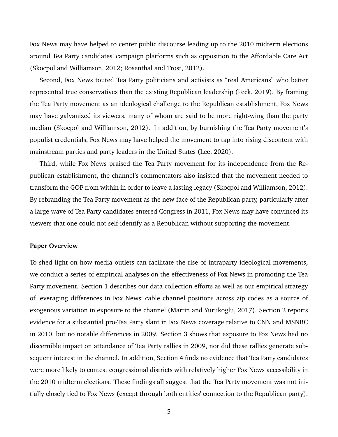Fox News may have helped to center public discourse leading up to the 2010 midterm elections around Tea Party candidates' campaign platforms such as opposition to the Affordable Care Act [\(Skocpol and Williamson, 2012;](#page-26-0) [Rosenthal and Trost, 2012\)](#page-25-5).

Second, Fox News touted Tea Party politicians and activists as "real Americans" who better represented true conservatives than the existing Republican leadership [\(Peck, 2019\)](#page-25-11). By framing the Tea Party movement as an ideological challenge to the Republican establishment, Fox News may have galvanized its viewers, many of whom are said to be more right-wing than the party median [\(Skocpol and Williamson, 2012\)](#page-26-0). In addition, by burnishing the Tea Party movement's populist credentials, Fox News may have helped the movement to tap into rising discontent with mainstream parties and party leaders in the United States [\(Lee, 2020\)](#page-25-6).

Third, while Fox News praised the Tea Party movement for its independence from the Republican establishment, the channel's commentators also insisted that the movement needed to transform the GOP from within in order to leave a lasting legacy [\(Skocpol and Williamson, 2012\)](#page-26-0). By rebranding the Tea Party movement as the new face of the Republican party, particularly after a large wave of Tea Party candidates entered Congress in 2011, Fox News may have convinced its viewers that one could not self-identify as a Republican without supporting the movement.

### **Paper Overview**

To shed light on how media outlets can facilitate the rise of intraparty ideological movements, we conduct a series of empirical analyses on the effectiveness of Fox News in promoting the Tea Party movement. Section [1](#page-5-0) describes our data collection efforts as well as our empirical strategy of leveraging differences in Fox News' cable channel positions across zip codes as a source of exogenous variation in exposure to the channel [\(Martin and Yurukoglu, 2017\)](#page-25-0). Section [2](#page-7-0) reports evidence for a substantial pro-Tea Party slant in Fox News coverage relative to CNN and MSNBC in 2010, but no notable differences in 2009. Section [3](#page-10-0) shows that exposure to Fox News had no discernible impact on attendance of Tea Party rallies in 2009, nor did these rallies generate subsequent interest in the channel. In addition, Section [4](#page-15-0) finds no evidence that Tea Party candidates were more likely to contest congressional districts with relatively higher Fox News accessibility in the 2010 midterm elections. These findings all suggest that the Tea Party movement was not initially closely tied to Fox News (except through both entities' connection to the Republican party).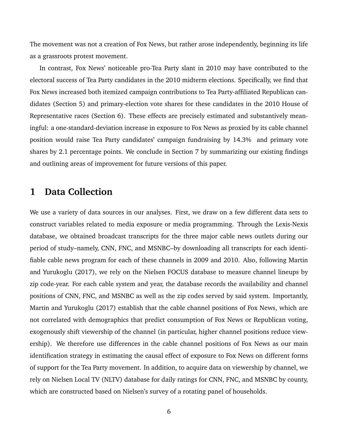The movement was not a creation of Fox News, but rather arose independently, beginning its life as a grassroots protest movement.

In contrast, Fox News' noticeable pro-Tea Party slant in 2010 may have contributed to the electoral success of Tea Party candidates in the 2010 midterm elections. Specifically, we find that Fox News increased both itemized campaign contributions to Tea Party-affiliated Republican candidates (Section [5\)](#page-17-0) and primary-election vote shares for these candidates in the 2010 House of Representative races (Section [6\)](#page-20-0). These effects are precisely estimated and substantively meaningful: a one-standard-deviation increase in exposure to Fox News as proxied by its cable channel position would raise Tea Party candidates' campaign fundraising by 14.3% and primary vote shares by 2.1 percentage points. We conclude in Section [7](#page-22-0) by summarizing our existing findings and outlining areas of improvement for future versions of this paper.

## <span id="page-5-0"></span>**1 Data Collection**

We use a variety of data sources in our analyses. First, we draw on a few different data sets to construct variables related to media exposure or media programming. Through the Lexis-Nexis database, we obtained broadcast transcripts for the three major cable news outlets during our period of study–namely, CNN, FNC, and MSNBC–by downloading all transcripts for each identifiable cable news program for each of these channels in 2009 and 2010. Also, following [Martin](#page-25-0) [and Yurukoglu](#page-25-0) [\(2017\)](#page-25-0), we rely on the Nielsen FOCUS database to measure channel lineups by zip code-year. For each cable system and year, the database records the availability and channel positions of CNN, FNC, and MSNBC as well as the zip codes served by said system. Importantly, [Martin and Yurukoglu](#page-25-0) [\(2017\)](#page-25-0) establish that the cable channel positions of Fox News, which are not correlated with demographics that predict consumption of Fox News or Republican voting, exogenously shift viewership of the channel (in particular, higher channel positions reduce viewership). We therefore use differences in the cable channel positions of Fox News as our main identification strategy in estimating the causal effect of exposure to Fox News on different forms of support for the Tea Party movement. In addition, to acquire data on viewership by channel, we rely on Nielsen Local TV (NLTV) database for daily ratings for CNN, FNC, and MSNBC by county, which are constructed based on Nielsen's survey of a rotating panel of households.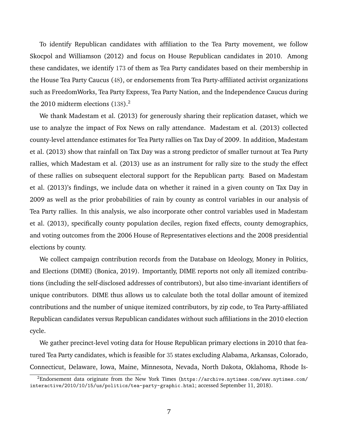To identify Republican candidates with affiliation to the Tea Party movement, we follow [Skocpol and Williamson](#page-26-0) [\(2012\)](#page-26-0) and focus on House Republican candidates in 2010. Among these candidates, we identify 173 of them as Tea Party candidates based on their membership in the House Tea Party Caucus (48), or endorsements from Tea Party-affiliated activist organizations such as FreedomWorks, Tea Party Express, Tea Party Nation, and the Independence Caucus during the [2](#page-0-0)010 midterm elections  $(138)$ .<sup>2</sup>

We thank [Madestam et al.](#page-25-1) [\(2013\)](#page-25-1) for generously sharing their replication dataset, which we use to analyze the impact of Fox News on rally attendance. [Madestam et al.](#page-25-1) [\(2013\)](#page-25-1) collected county-level attendance estimates for Tea Party rallies on Tax Day of 2009. In addition, [Madestam](#page-25-1) [et al.](#page-25-1) [\(2013\)](#page-25-1) show that rainfall on Tax Day was a strong predictor of smaller turnout at Tea Party rallies, which [Madestam et al.](#page-25-1) [\(2013\)](#page-25-1) use as an instrument for rally size to the study the effect of these rallies on subsequent electoral support for the Republican party. Based on [Madestam](#page-25-1) [et al.](#page-25-1) [\(2013\)](#page-25-1)'s findings, we include data on whether it rained in a given county on Tax Day in 2009 as well as the prior probabilities of rain by county as control variables in our analysis of Tea Party rallies. In this analysis, we also incorporate other control variables used in [Madestam](#page-25-1) [et al.](#page-25-1) [\(2013\)](#page-25-1), specifically county population deciles, region fixed effects, county demographics, and voting outcomes from the 2006 House of Representatives elections and the 2008 presidential elections by county.

We collect campaign contribution records from the Database on Ideology, Money in Politics, and Elections (DIME) [\(Bonica, 2019\)](#page-24-9). Importantly, DIME reports not only all itemized contributions (including the self-disclosed addresses of contributors), but also time-invariant identifiers of unique contributors. DIME thus allows us to calculate both the total dollar amount of itemized contributions and the number of unique itemized contributors, by zip code, to Tea Party-affiliated Republican candidates versus Republican candidates without such affiliations in the 2010 election cycle.

We gather precinct-level voting data for House Republican primary elections in 2010 that featured Tea Party candidates, which is feasible for 35 states excluding Alabama, Arkansas, Colorado, Connecticut, Delaware, Iowa, Maine, Minnesota, Nevada, North Dakota, Oklahoma, Rhode Is-

<sup>2</sup>Endorsement data originate from the New York Times ([https://archive.nytimes.com/www.nytimes.com/](https://archive.nytimes.com/www.nytimes.com/interactive/2010/10/15/us/politics/tea-party-graphic.html) [interactive/2010/10/15/us/politics/tea-party-graphic.html](https://archive.nytimes.com/www.nytimes.com/interactive/2010/10/15/us/politics/tea-party-graphic.html); accessed September 11, 2018).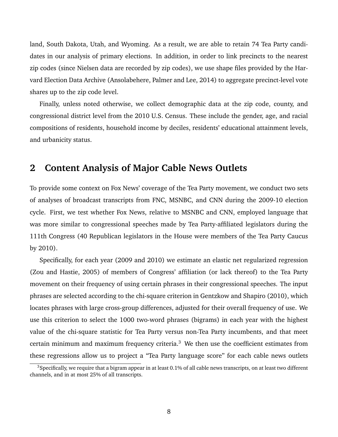land, South Dakota, Utah, and Wyoming. As a result, we are able to retain 74 Tea Party candidates in our analysis of primary elections. In addition, in order to link precincts to the nearest zip codes (since Nielsen data are recorded by zip codes), we use shape files provided by the Harvard Election Data Archive [\(Ansolabehere, Palmer and Lee, 2014\)](#page-24-10) to aggregate precinct-level vote shares up to the zip code level.

Finally, unless noted otherwise, we collect demographic data at the zip code, county, and congressional district level from the 2010 U.S. Census. These include the gender, age, and racial compositions of residents, household income by deciles, residents' educational attainment levels, and urbanicity status.

## <span id="page-7-0"></span>**2 Content Analysis of Major Cable News Outlets**

To provide some context on Fox News' coverage of the Tea Party movement, we conduct two sets of analyses of broadcast transcripts from FNC, MSNBC, and CNN during the 2009-10 election cycle. First, we test whether Fox News, relative to MSNBC and CNN, employed language that was more similar to congressional speeches made by Tea Party-affiliated legislators during the 111th Congress (40 Republican legislators in the House were members of the Tea Party Caucus by 2010).

Specifically, for each year (2009 and 2010) we estimate an elastic net regularized regression [\(Zou and Hastie, 2005\)](#page-26-3) of members of Congress' affiliation (or lack thereof) to the Tea Party movement on their frequency of using certain phrases in their congressional speeches. The input phrases are selected according to the chi-square criterion in [Gentzkow and Shapiro](#page-24-0) [\(2010\)](#page-24-0), which locates phrases with large cross-group differences, adjusted for their overall frequency of use. We use this criterion to select the 1000 two-word phrases (bigrams) in each year with the highest value of the chi-square statistic for Tea Party versus non-Tea Party incumbents, and that meet certain minimum and maximum frequency criteria. $3$  We then use the coefficient estimates from these regressions allow us to project a "Tea Party language score" for each cable news outlets

 $3$ Specifically, we require that a bigram appear in at least 0.1% of all cable news transcripts, on at least two different channels, and in at most 25% of all transcripts.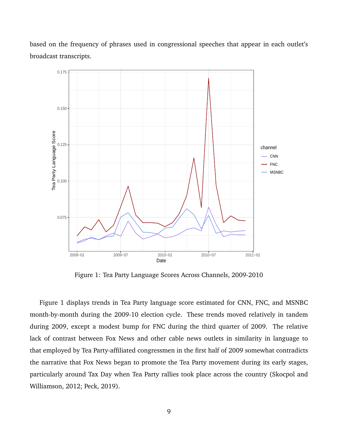<span id="page-8-0"></span>

based on the frequency of phrases used in congressional speeches that appear in each outlet's broadcast transcripts.

Figure 1: Tea Party Language Scores Across Channels, 2009-2010

Figure [1](#page-8-0) displays trends in Tea Party language score estimated for CNN, FNC, and MSNBC month-by-month during the 2009-10 election cycle. These trends moved relatively in tandem during 2009, except a modest bump for FNC during the third quarter of 2009. The relative lack of contrast between Fox News and other cable news outlets in similarity in language to that employed by Tea Party-affiliated congressmen in the first half of 2009 somewhat contradicts the narrative that Fox News began to promote the Tea Party movement during its early stages, particularly around Tax Day when Tea Party rallies took place across the country [\(Skocpol and](#page-26-0) [Williamson, 2012;](#page-26-0) [Peck, 2019\)](#page-25-11).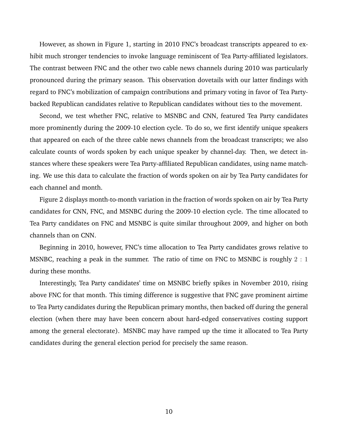However, as shown in Figure [1,](#page-8-0) starting in 2010 FNC's broadcast transcripts appeared to exhibit much stronger tendencies to invoke language reminiscent of Tea Party-affiliated legislators. The contrast between FNC and the other two cable news channels during 2010 was particularly pronounced during the primary season. This observation dovetails with our latter findings with regard to FNC's mobilization of campaign contributions and primary voting in favor of Tea Partybacked Republican candidates relative to Republican candidates without ties to the movement.

Second, we test whether FNC, relative to MSNBC and CNN, featured Tea Party candidates more prominently during the 2009-10 election cycle. To do so, we first identify unique speakers that appeared on each of the three cable news channels from the broadcast transcripts; we also calculate counts of words spoken by each unique speaker by channel-day. Then, we detect instances where these speakers were Tea Party-affiliated Republican candidates, using name matching. We use this data to calculate the fraction of words spoken on air by Tea Party candidates for each channel and month.

Figure [2](#page-10-1) displays month-to-month variation in the fraction of words spoken on air by Tea Party candidates for CNN, FNC, and MSNBC during the 2009-10 election cycle. The time allocated to Tea Party candidates on FNC and MSNBC is quite similar throughout 2009, and higher on both channels than on CNN.

Beginning in 2010, however, FNC's time allocation to Tea Party candidates grows relative to MSNBC, reaching a peak in the summer. The ratio of time on FNC to MSNBC is roughly 2 : 1 during these months.

Interestingly, Tea Party candidates' time on MSNBC briefly spikes in November 2010, rising above FNC for that month. This timing difference is suggestive that FNC gave prominent airtime to Tea Party candidates during the Republican primary months, then backed off during the general election (when there may have been concern about hard-edged conservatives costing support among the general electorate). MSNBC may have ramped up the time it allocated to Tea Party candidates during the general election period for precisely the same reason.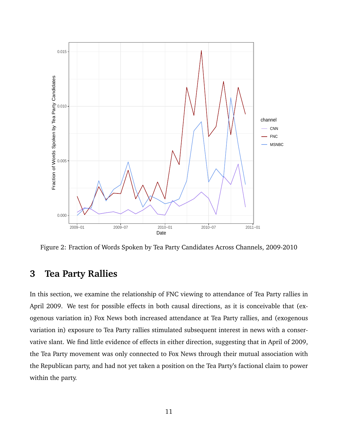<span id="page-10-1"></span>

Figure 2: Fraction of Words Spoken by Tea Party Candidates Across Channels, 2009-2010

## <span id="page-10-0"></span>**3 Tea Party Rallies**

In this section, we examine the relationship of FNC viewing to attendance of Tea Party rallies in April 2009. We test for possible effects in both causal directions, as it is conceivable that (exogenous variation in) Fox News both increased attendance at Tea Party rallies, and (exogenous variation in) exposure to Tea Party rallies stimulated subsequent interest in news with a conservative slant. We find little evidence of effects in either direction, suggesting that in April of 2009, the Tea Party movement was only connected to Fox News through their mutual association with the Republican party, and had not yet taken a position on the Tea Party's factional claim to power within the party.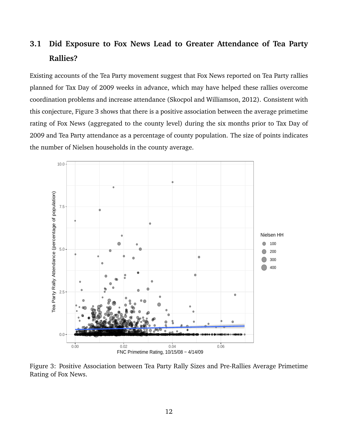## **3.1 Did Exposure to Fox News Lead to Greater Attendance of Tea Party Rallies?**

Existing accounts of the Tea Party movement suggest that Fox News reported on Tea Party rallies planned for Tax Day of 2009 weeks in advance, which may have helped these rallies overcome coordination problems and increase attendance [\(Skocpol and Williamson, 2012\)](#page-26-0). Consistent with this conjecture, Figure [3](#page-11-0) shows that there is a positive association between the average primetime rating of Fox News (aggregated to the county level) during the six months prior to Tax Day of 2009 and Tea Party attendance as a percentage of county population. The size of points indicates the number of Nielsen households in the county average.

<span id="page-11-0"></span>

Figure 3: Positive Association between Tea Party Rally Sizes and Pre-Rallies Average Primetime Rating of Fox News.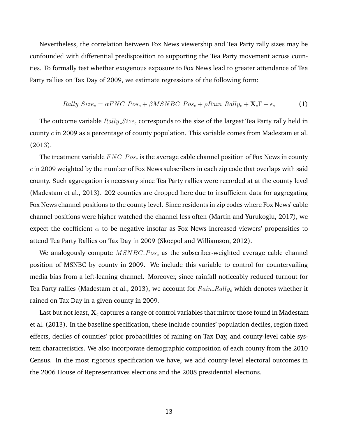Nevertheless, the correlation between Fox News viewership and Tea Party rally sizes may be confounded with differential predisposition to supporting the Tea Party movement across counties. To formally test whether exogenous exposure to Fox News lead to greater attendance of Tea Party rallies on Tax Day of 2009, we estimate regressions of the following form:

<span id="page-12-0"></span>
$$
Rally\_Size_c = \alpha FNC\_Pos_c + \beta MSNBC\_Pos_c + \rho Rain\_Rally_c + \mathbf{X}_c \Gamma + \epsilon_c \tag{1}
$$

The outcome variable  $Rally\_Size_c$  corresponds to the size of the largest Tea Party rally held in county  $c$  in 2009 as a percentage of county population. This variable comes from [Madestam et al.](#page-25-1) [\(2013\)](#page-25-1).

The treatment variable  $FNC\_Pos_c$  is the average cable channel position of Fox News in county  $c$  in 2009 weighted by the number of Fox News subscribers in each zip code that overlaps with said county. Such aggregation is necessary since Tea Party rallies were recorded at at the county level [\(Madestam et al., 2013\)](#page-25-1). 202 counties are dropped here due to insufficient data for aggregating Fox News channel positions to the county level. Since residents in zip codes where Fox News' cable channel positions were higher watched the channel less often [\(Martin and Yurukoglu, 2017\)](#page-25-0), we expect the coefficient  $\alpha$  to be negative insofar as Fox News increased viewers' propensities to attend Tea Party Rallies on Tax Day in 2009 [\(Skocpol and Williamson, 2012\)](#page-26-0).

We analogously compute  $MSNBC\_{Pos_c}$  as the subscriber-weighted average cable channel position of MSNBC by county in 2009. We include this variable to control for countervailing media bias from a left-leaning channel. Moreover, since rainfall noticeably reduced turnout for Tea Party rallies [\(Madestam et al., 2013\)](#page-25-1), we account for  $Rain\_Rally<sub>c</sub>$  which denotes whether it rained on Tax Day in a given county in 2009.

Last but not least,  $X_c$  captures a range of control variables that mirror those found in [Madestam](#page-25-1) [et al.](#page-25-1) [\(2013\)](#page-25-1). In the baseline specification, these include counties' population deciles, region fixed effects, deciles of counties' prior probabilities of raining on Tax Day, and county-level cable system characteristics. We also incorporate demographic composition of each county from the 2010 Census. In the most rigorous specification we have, we add county-level electoral outcomes in the 2006 House of Representatives elections and the 2008 presidential elections.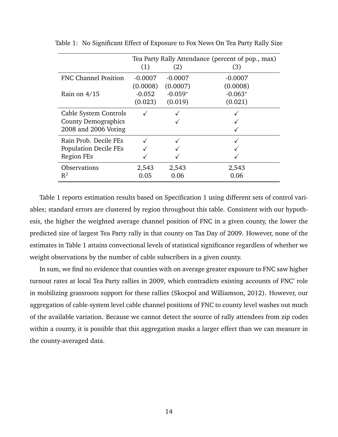|                              | Tea Party Rally Attendance (percent of pop., max) |           |           |  |
|------------------------------|---------------------------------------------------|-----------|-----------|--|
|                              | (1)                                               | (2)       | (3)       |  |
| <b>FNC Channel Position</b>  | $-0.0007$                                         | $-0.0007$ | $-0.0007$ |  |
|                              | (0.0008)                                          | (0.0007)  | (0.0008)  |  |
| Rain on $4/15$               | $-0.052$                                          | $-0.059*$ | $-0.063*$ |  |
|                              | (0.023)                                           | (0.019)   | (0.021)   |  |
| Cable System Controls        |                                                   |           |           |  |
| <b>County Demographics</b>   |                                                   |           |           |  |
| 2008 and 2006 Voting         |                                                   |           |           |  |
| Rain Prob. Decile FEs        |                                                   |           |           |  |
| <b>Population Decile FEs</b> |                                                   |           |           |  |
| <b>Region FEs</b>            |                                                   |           |           |  |
| <b>Observations</b>          | 2,543                                             | 2,543     | 2,543     |  |
| $\mathsf{R}^2$               | 0.05                                              | 0.06      | 0.06      |  |

<span id="page-13-0"></span>Table 1: No Significant Effect of Exposure to Fox News On Tea Party Rally Size

Table [1](#page-13-0) reports estimation results based on Specification [1](#page-12-0) using different sets of control variables; standard errors are clustered by region throughout this table. Consistent with our hypothesis, the higher the weighted average channel position of FNC in a given county, the lower the predicted size of largest Tea Party rally in that county on Tax Day of 2009. However, none of the estimates in Table [1](#page-13-0) attains convectional levels of statistical significance regardless of whether we weight observations by the number of cable subscribers in a given county.

In sum, we find no evidence that counties with on average greater exposure to FNC saw higher turnout rates at local Tea Party rallies in 2009, which contradicts existing accounts of FNC' role in mobilizing grassroots support for these rallies [\(Skocpol and Williamson, 2012\)](#page-26-0). However, our aggregation of cable-system level cable channel positions of FNC to county level washes out much of the available variation. Because we cannot detect the source of rally attendees from zip codes within a county, it is possible that this aggregation masks a larger effect than we can measure in the county-averaged data.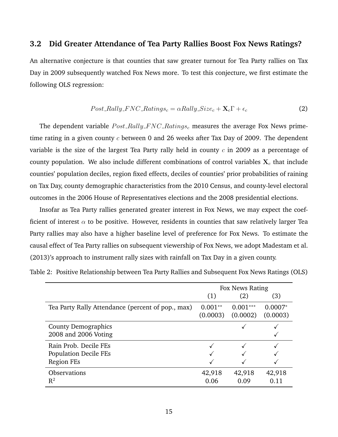### **3.2 Did Greater Attendance of Tea Party Rallies Boost Fox News Ratings?**

An alternative conjecture is that counties that saw greater turnout for Tea Party rallies on Tax Day in 2009 subsequently watched Fox News more. To test this conjecture, we first estimate the following OLS regression:

<span id="page-14-1"></span>
$$
Post\_Rally\_FNC\_Ratings_c = \alpha Rally\_Size_c + \mathbf{X}_c \Gamma + \epsilon_c \tag{2}
$$

The dependent variable  $Post\_Rally\_FNC\_Ratings_c$  measures the average Fox News primetime rating in a given county  $c$  between 0 and 26 weeks after Tax Day of 2009. The dependent variable is the size of the largest Tea Party rally held in county  $c$  in 2009 as a percentage of county population. We also include different combinations of control variables  $X_c$  that include counties' population deciles, region fixed effects, deciles of counties' prior probabilities of raining on Tax Day, county demographic characteristics from the 2010 Census, and county-level electoral outcomes in the 2006 House of Representatives elections and the 2008 presidential elections.

Insofar as Tea Party rallies generated greater interest in Fox News, we may expect the coefficient of interest  $\alpha$  to be positive. However, residents in counties that saw relatively larger Tea Party rallies may also have a higher baseline level of preference for Fox News. To estimate the causal effect of Tea Party rallies on subsequent viewership of Fox News, we adopt [Madestam et al.](#page-25-1) [\(2013\)](#page-25-1)'s approach to instrument rally sizes with rainfall on Tax Day in a given county.

|                                                                            | Fox News Rating       |                        |                       |
|----------------------------------------------------------------------------|-----------------------|------------------------|-----------------------|
|                                                                            | (1)                   | (2)                    | (3)                   |
| Tea Party Rally Attendance (percent of pop., max)                          | $0.001**$<br>(0.0003) | $0.001***$<br>(0.0002) | $0.0007*$<br>(0.0003) |
| <b>County Demographics</b><br>2008 and 2006 Voting                         |                       |                        |                       |
| Rain Prob. Decile FEs<br><b>Population Decile FEs</b><br><b>Region FEs</b> |                       |                        |                       |
| <b>Observations</b><br>$\mathrm{R}^2$                                      | 42,918<br>0.06        | 42,918<br>0.09         | 42,918<br>0.11        |

<span id="page-14-0"></span>Table 2: Positive Relationship between Tea Party Rallies and Subsequent Fox News Ratings (OLS)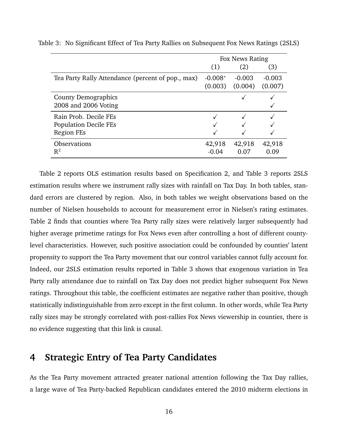|                                                   | Fox News Rating |          |          |
|---------------------------------------------------|-----------------|----------|----------|
|                                                   | (1)             | (2)      | (3)      |
| Tea Party Rally Attendance (percent of pop., max) | $-0.008*$       | $-0.003$ | $-0.003$ |
|                                                   | (0.003)         | (0.004)  | (0.007)  |
| <b>County Demographics</b>                        |                 |          |          |
| 2008 and 2006 Voting                              |                 |          |          |
| Rain Prob. Decile FEs                             |                 |          |          |
| <b>Population Decile FEs</b>                      |                 |          |          |
| Region FEs                                        |                 |          |          |
| <b>Observations</b>                               | 42,918          | 42,918   | 42,918   |
| $R^2$                                             | $-0.04$         | 0.07     | 0.09     |

<span id="page-15-1"></span>Table 3: No Significant Effect of Tea Party Rallies on Subsequent Fox News Ratings (2SLS)

Table [2](#page-14-0) reports OLS estimation results based on Specification [2,](#page-14-1) and Table [3](#page-15-1) reports 2SLS estimation results where we instrument rally sizes with rainfall on Tax Day. In both tables, standard errors are clustered by region. Also, in both tables we weight observations based on the number of Nielsen households to account for measurement error in Nielsen's rating estimates. Table [2](#page-14-0) finds that counties where Tea Party rally sizes were relatively larger subsequently had higher average primetime ratings for Fox News even after controlling a host of different countylevel characteristics. However, such positive association could be confounded by counties' latent propensity to support the Tea Party movement that our control variables cannot fully account for. Indeed, our 2SLS estimation results reported in Table [3](#page-15-1) shows that exogenous variation in Tea Party rally attendance due to rainfall on Tax Day does not predict higher subsequent Fox News ratings. Throughout this table, the coefficient estimates are negative rather than positive, though statistically indistinguishable from zero except in the first column. In other words, while Tea Party rally sizes may be strongly correlated with post-rallies Fox News viewership in counties, there is no evidence suggesting that this link is causal.

## <span id="page-15-0"></span>**4 Strategic Entry of Tea Party Candidates**

As the Tea Party movement attracted greater national attention following the Tax Day rallies, a large wave of Tea Party-backed Republican candidates entered the 2010 midterm elections in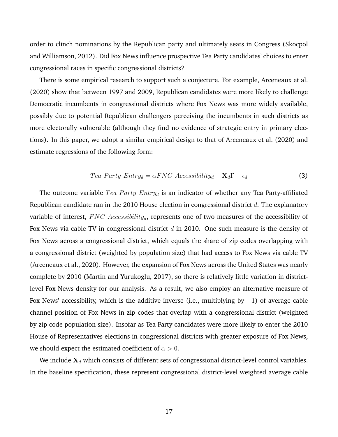order to clinch nominations by the Republican party and ultimately seats in Congress [\(Skocpol](#page-26-0) [and Williamson, 2012\)](#page-26-0). Did Fox News influence prospective Tea Party candidates' choices to enter congressional races in specific congressional districts?

There is some empirical research to support such a conjecture. For example, [Arceneaux et al.](#page-24-11) [\(2020\)](#page-24-11) show that between 1997 and 2009, Republican candidates were more likely to challenge Democratic incumbents in congressional districts where Fox News was more widely available, possibly due to potential Republican challengers perceiving the incumbents in such districts as more electorally vulnerable (although they find no evidence of strategic entry in primary elections). In this paper, we adopt a similar empirical design to that of [Arceneaux et al.](#page-24-11) [\(2020\)](#page-24-11) and estimate regressions of the following form:

$$
Tea\_Party\_Entry_d = \alpha FNC\_Accessibility_d + \mathbf{X}_d \Gamma + \epsilon_d
$$
\n(3)

The outcome variable  $Tea$ - $Party$ - $Entry_d$  is an indicator of whether any Tea Party-affiliated Republican candidate ran in the 2010 House election in congressional district  $d$ . The explanatory variable of interest,  $FNC \text{ }_\textit{A} \text{ } \textit{c} \text{ }_\textit{d}$ , represents one of two measures of the accessibility of Fox News via cable TV in congressional district  $d$  in 2010. One such measure is the density of Fox News across a congressional district, which equals the share of zip codes overlapping with a congressional district (weighted by population size) that had access to Fox News via cable TV [\(Arceneaux et al., 2020\)](#page-24-11). However, the expansion of Fox News across the United States was nearly complete by 2010 [\(Martin and Yurukoglu, 2017\)](#page-25-0), so there is relatively little variation in districtlevel Fox News density for our analysis. As a result, we also employ an alternative measure of Fox News' accessibility, which is the additive inverse (i.e., multiplying by  $-1$ ) of average cable channel position of Fox News in zip codes that overlap with a congressional district (weighted by zip code population size). Insofar as Tea Party candidates were more likely to enter the 2010 House of Representatives elections in congressional districts with greater exposure of Fox News, we should expect the estimated coefficient of  $\alpha > 0$ .

We include  $\mathbf{X}_d$  which consists of different sets of congressional district-level control variables. In the baseline specification, these represent congressional district-level weighted average cable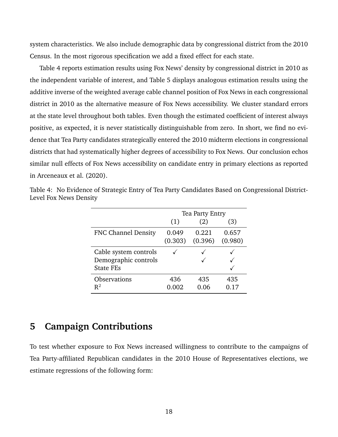system characteristics. We also include demographic data by congressional district from the 2010 Census. In the most rigorous specification we add a fixed effect for each state.

Table [4](#page-17-1) reports estimation results using Fox News' density by congressional district in 2010 as the independent variable of interest, and Table [5](#page-18-0) displays analogous estimation results using the additive inverse of the weighted average cable channel position of Fox News in each congressional district in 2010 as the alternative measure of Fox News accessibility. We cluster standard errors at the state level throughout both tables. Even though the estimated coefficient of interest always positive, as expected, it is never statistically distinguishable from zero. In short, we find no evidence that Tea Party candidates strategically entered the 2010 midterm elections in congressional districts that had systematically higher degrees of accessibility to Fox News. Our conclusion echos similar null effects of Fox News accessibility on candidate entry in primary elections as reported in [Arceneaux et al.](#page-24-11) [\(2020\)](#page-24-11).

|                            | Tea Party Entry |         |         |  |
|----------------------------|-----------------|---------|---------|--|
|                            | (1)             | (2)     | (3)     |  |
| <b>FNC Channel Density</b> | 0.049           | 0.221   | 0.657   |  |
|                            | (0.303)         | (0.396) | (0.980) |  |
| Cable system controls      |                 |         |         |  |
| Demographic controls       |                 |         |         |  |
| <b>State FEs</b>           |                 |         |         |  |
| <b>Observations</b>        | 436             | 435     | 435     |  |
| $R^2$                      | 0.002           | 0.06    | 0.17    |  |

<span id="page-17-1"></span>Table 4: No Evidence of Strategic Entry of Tea Party Candidates Based on Congressional District-Level Fox News Density

## <span id="page-17-0"></span>**5 Campaign Contributions**

To test whether exposure to Fox News increased willingness to contribute to the campaigns of Tea Party-affiliated Republican candidates in the 2010 House of Representatives elections, we estimate regressions of the following form: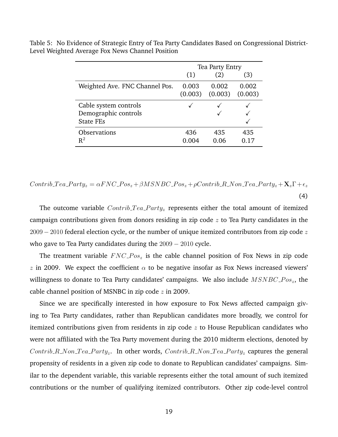|                                | <b>Tea Party Entry</b> |         |         |  |
|--------------------------------|------------------------|---------|---------|--|
|                                | (1)                    | (2)     | (3)     |  |
| Weighted Ave. FNC Channel Pos. | 0.003                  | 0.002   | 0.002   |  |
|                                | (0.003)                | (0.003) | (0.003) |  |
| Cable system controls          |                        |         |         |  |
| Demographic controls           |                        |         |         |  |
| <b>State FEs</b>               |                        |         |         |  |
| Observations                   | 436                    | 435     | 435     |  |
| $R^2$                          | 0.004                  | 0.06    | 0.17    |  |

<span id="page-18-0"></span>Table 5: No Evidence of Strategic Entry of Tea Party Candidates Based on Congressional District-Level Weighted Average Fox News Channel Position

$$
Contrib\_Tea\_Party_z = \alpha FNC\_Pos_z + \beta MSNBC\_Pos_z + \rho Contrib\_R\_Non\_Tea\_Party_z + \mathbf{X}_z \Gamma + \epsilon_z
$$
\n
$$
\tag{4}
$$

The outcome variable  $Contrib\_Tea\_Party_z$  represents either the total amount of itemized campaign contributions given from donors residing in zip code  $z$  to Tea Party candidates in the  $2009 - 2010$  federal election cycle, or the number of unique itemized contributors from zip code z who gave to Tea Party candidates during the 2009 − 2010 cycle.

The treatment variable  $FNC\_{Pos_z}$  is the cable channel position of Fox News in zip code z in 2009. We expect the coefficient  $\alpha$  to be negative insofar as Fox News increased viewers' willingness to donate to Tea Party candidates' campaigns. We also include  $MSNBC\_{Pos_z}$ , the cable channel position of MSNBC in zip code  $z$  in 2009.

Since we are specifically interested in how exposure to Fox News affected campaign giving to Tea Party candidates, rather than Republican candidates more broadly, we control for itemized contributions given from residents in zip code  $z$  to House Republican candidates who were not affiliated with the Tea Party movement during the 2010 midterm elections, denoted by Contrib\_R\_Non\_Tea\_Party<sub>z</sub>. In other words,  $Contrib_R$ \_Non\_Tea\_Party<sub>z</sub> captures the general propensity of residents in a given zip code to donate to Republican candidates' campaigns. Similar to the dependent variable, this variable represents either the total amount of such itemized contributions or the number of qualifying itemized contributors. Other zip code-level control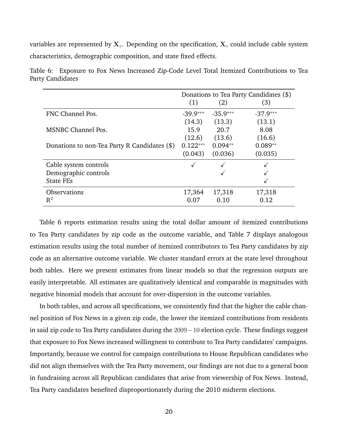variables are represented by  $X_z$ . Depending on the specification,  $X_z$  could include cable system characteristics, demographic composition, and state fixed effects.

|                                              | Donations to Tea Party Candidates (\$) |            |            |
|----------------------------------------------|----------------------------------------|------------|------------|
|                                              | (1)                                    | (2)        | (3)        |
| FNC Channel Pos.                             | $-39.9***$                             | $-35.9***$ | $-37.9***$ |
|                                              | (14.3)                                 | (13.3)     | (13.1)     |
| <b>MSNBC Channel Pos.</b>                    | 15.9                                   | 20.7       | 8.08       |
|                                              | (12.6)                                 | (13.6)     | (16.6)     |
| Donations to non-Tea Party R Candidates (\$) | $0.122***$                             | $0.094**$  | $0.089**$  |
|                                              | (0.043)                                | (0.036)    | (0.035)    |
| Cable system controls                        |                                        |            |            |
| Demographic controls                         |                                        |            |            |
| <b>State FEs</b>                             |                                        |            |            |
| <b>Observations</b>                          | 17,364                                 | 17,318     | 17,318     |
| $\mathbb{R}^2$                               | 0.07                                   | 0.10       | 0.12       |

<span id="page-19-0"></span>Table 6: Exposure to Fox News Increased Zip-Code Level Total Itemized Contributions to Tea Party Candidates

Table [6](#page-19-0) reports estimation results using the total dollar amount of itemized contributions to Tea Party candidates by zip code as the outcome variable, and Table [7](#page-20-1) displays analogous estimation results using the total number of itemized contributors to Tea Party candidates by zip code as an alternative outcome variable. We cluster standard errors at the state level throughout both tables. Here we present estimates from linear models so that the regression outputs are easily interpretable. All estimates are qualitatively identical and comparable in magnitudes with negative binomial models that account for over-dispersion in the outcome variables.

In both tables, and across all specifications, we consistently find that the higher the cable channel position of Fox News in a given zip code, the lower the itemized contributions from residents in said zip code to Tea Party candidates during the 2009−10 election cycle. These findings suggest that exposure to Fox News increased willingness to contribute to Tea Party candidates' campaigns. Importantly, because we control for campaign contributions to House Republican candidates who did not align themselves with the Tea Party movement, our findings are not due to a general boon in fundraising across all Republican candidates that arise from viewership of Fox News. Instead, Tea Party candidates benefited disproportionately during the 2010 midterm elections.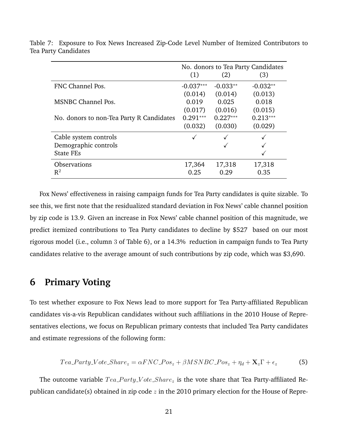|                                          | No. donors to Tea Party Candidates |            |            |
|------------------------------------------|------------------------------------|------------|------------|
|                                          | (1)                                | (2)        | (3)        |
| FNC Channel Pos.                         | $-0.037***$                        | $-0.033**$ | $-0.032**$ |
|                                          | (0.014)                            | (0.014)    | (0.013)    |
| <b>MSNBC Channel Pos.</b>                | 0.019                              | 0.025      | 0.018      |
|                                          | (0.017)                            | (0.016)    | (0.015)    |
| No. donors to non-Tea Party R Candidates | $0.291***$                         | $0.227***$ | $0.213***$ |
|                                          | (0.032)                            | (0.030)    | (0.029)    |
| Cable system controls                    |                                    |            |            |
| Demographic controls                     |                                    |            |            |
| <b>State FEs</b>                         |                                    |            |            |
| <b>Observations</b>                      | 17,364                             | 17,318     | 17,318     |
| $R^2$                                    | 0.25                               | 0.29       | 0.35       |

<span id="page-20-1"></span>Table 7: Exposure to Fox News Increased Zip-Code Level Number of Itemized Contributors to Tea Party Candidates

Fox News' effectiveness in raising campaign funds for Tea Party candidates is quite sizable. To see this, we first note that the residualized standard deviation in Fox News' cable channel position by zip code is 13.9. Given an increase in Fox News' cable channel position of this magnitude, we predict itemized contributions to Tea Party candidates to decline by \$527 based on our most rigorous model (i.e., column 3 of Table [6\)](#page-19-0), or a 14.3% reduction in campaign funds to Tea Party candidates relative to the average amount of such contributions by zip code, which was \$3,690.

### <span id="page-20-0"></span>**6 Primary Voting**

To test whether exposure to Fox News lead to more support for Tea Party-affiliated Republican candidates vis-a-vis Republican candidates without such affiliations in the 2010 House of Representatives elections, we focus on Republican primary contests that included Tea Party candidates and estimate regressions of the following form:

$$
Tea\_Party\_Vote\_Share_z = \alpha FNC\_Pos_z + \beta MSNBC\_Pos_z + \eta_d + \mathbf{X}_z \Gamma + \epsilon_z
$$
 (5)

The outcome variable  $Tea$ - $Party$ - $Vote$ - $Share$  is the vote share that Tea Party-affiliated Republican candidate(s) obtained in zip code  $z$  in the 2010 primary election for the House of Repre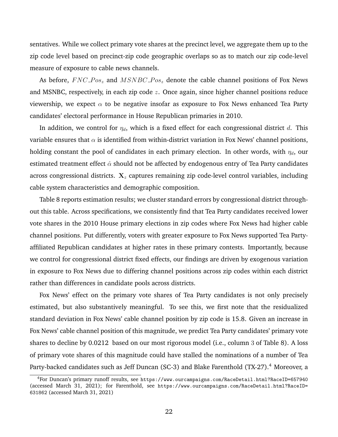sentatives. While we collect primary vote shares at the precinct level, we aggregate them up to the zip code level based on precinct-zip code geographic overlaps so as to match our zip code-level measure of exposure to cable news channels.

As before,  $FNC\_{Pos_z}$  and  $MSNBC\_{Pos_z}$  denote the cable channel positions of Fox News and MSNBC, respectively, in each zip code  $z$ . Once again, since higher channel positions reduce viewership, we expect  $\alpha$  to be negative insofar as exposure to Fox News enhanced Tea Party candidates' electoral performance in House Republican primaries in 2010.

In addition, we control for  $\eta_d$ , which is a fixed effect for each congressional district d. This variable ensures that  $\alpha$  is identified from within-district variation in Fox News' channel positions, holding constant the pool of candidates in each primary election. In other words, with  $\eta_d$ , our estimated treatment effect  $\hat{\alpha}$  should not be affected by endogenous entry of Tea Party candidates across congressional districts.  $X<sub>z</sub>$  captures remaining zip code-level control variables, including cable system characteristics and demographic composition.

Table [8](#page-22-1) reports estimation results; we cluster standard errors by congressional district throughout this table. Across specifications, we consistently find that Tea Party candidates received lower vote shares in the 2010 House primary elections in zip codes where Fox News had higher cable channel positions. Put differently, voters with greater exposure to Fox News supported Tea Partyaffiliated Republican candidates at higher rates in these primary contests. Importantly, because we control for congressional district fixed effects, our findings are driven by exogenous variation in exposure to Fox News due to differing channel positions across zip codes within each district rather than differences in candidate pools across districts.

Fox News' effect on the primary vote shares of Tea Party candidates is not only precisely estimated, but also substantively meaningful. To see this, we first note that the residualized standard deviation in Fox News' cable channel position by zip code is 15.8. Given an increase in Fox News' cable channel position of this magnitude, we predict Tea Party candidates' primary vote shares to decline by 0.0212 based on our most rigorous model (i.e., column 3 of Table [8\)](#page-22-1). A loss of primary vote shares of this magnitude could have stalled the nominations of a number of Tea Party-backed candidates such as Jeff Duncan (SC-3) and Blake Farenthold (TX-27).<sup>[4](#page-0-0)</sup> Moreover, a

<sup>4</sup>For Duncan's primary runoff results, see <https://www.ourcampaigns.com/RaceDetail.html?RaceID=657940> (accessed March 31, 2021); for Farenthold, see [https://www.ourcampaigns.com/RaceDetail.html?RaceID=](https://www.ourcampaigns.com/RaceDetail.html?RaceID=631862) [631862](https://www.ourcampaigns.com/RaceDetail.html?RaceID=631862) (accessed March 31, 2021)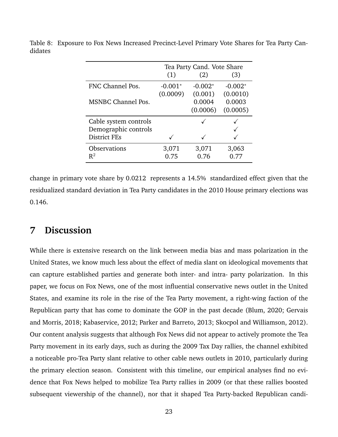|                           | Tea Party Cand. Vote Share |           |           |  |
|---------------------------|----------------------------|-----------|-----------|--|
|                           | (1)                        | (2)       | (3)       |  |
| FNC Channel Pos.          | $-0.001*$                  | $-0.002*$ | $-0.002*$ |  |
|                           | (0.0009)                   | (0.001)   | (0.0010)  |  |
| <b>MSNBC Channel Pos.</b> |                            | 0.0004    | 0.0003    |  |
|                           |                            | (0.0006)  | (0.0005)  |  |
| Cable system controls     |                            |           |           |  |
| Demographic controls      |                            |           |           |  |
| <b>District FEs</b>       |                            |           |           |  |
| Observations              | 3,071                      | 3,071     | 3,063     |  |
| $R^2$                     | 0.75                       | 0.76      | 0.77      |  |

<span id="page-22-1"></span>Table 8: Exposure to Fox News Increased Precinct-Level Primary Vote Shares for Tea Party Candidates

change in primary vote share by 0.0212 represents a 14.5% standardized effect given that the residualized standard deviation in Tea Party candidates in the 2010 House primary elections was 0.146.

## <span id="page-22-0"></span>**7 Discussion**

While there is extensive research on the link between media bias and mass polarization in the United States, we know much less about the effect of media slant on ideological movements that can capture established parties and generate both inter- and intra- party polarization. In this paper, we focus on Fox News, one of the most influential conservative news outlet in the United States, and examine its role in the rise of the Tea Party movement, a right-wing faction of the Republican party that has come to dominate the GOP in the past decade [\(Blum, 2020;](#page-24-6) [Gervais](#page-24-7) [and Morris, 2018;](#page-24-7) [Kabaservice, 2012;](#page-25-2) [Parker and Barreto, 2013;](#page-25-3) [Skocpol and Williamson, 2012\)](#page-26-0). Our content analysis suggests that although Fox News did not appear to actively promote the Tea Party movement in its early days, such as during the 2009 Tax Day rallies, the channel exhibited a noticeable pro-Tea Party slant relative to other cable news outlets in 2010, particularly during the primary election season. Consistent with this timeline, our empirical analyses find no evidence that Fox News helped to mobilize Tea Party rallies in 2009 (or that these rallies boosted subsequent viewership of the channel), nor that it shaped Tea Party-backed Republican candi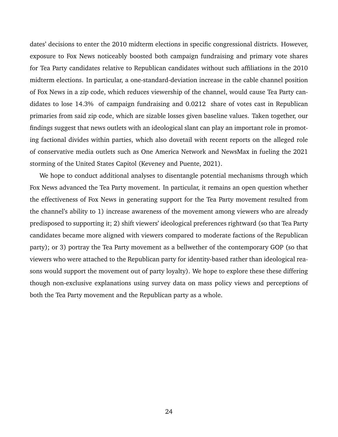dates' decisions to enter the 2010 midterm elections in specific congressional districts. However, exposure to Fox News noticeably boosted both campaign fundraising and primary vote shares for Tea Party candidates relative to Republican candidates without such affiliations in the 2010 midterm elections. In particular, a one-standard-deviation increase in the cable channel position of Fox News in a zip code, which reduces viewership of the channel, would cause Tea Party candidates to lose 14.3% of campaign fundraising and 0.0212 share of votes cast in Republican primaries from said zip code, which are sizable losses given baseline values. Taken together, our findings suggest that news outlets with an ideological slant can play an important role in promoting factional divides within parties, which also dovetail with recent reports on the alleged role of conservative media outlets such as One America Network and NewsMax in fueling the 2021 storming of the United States Capitol [\(Keveney and Puente, 2021\)](#page-25-12).

We hope to conduct additional analyses to disentangle potential mechanisms through which Fox News advanced the Tea Party movement. In particular, it remains an open question whether the effectiveness of Fox News in generating support for the Tea Party movement resulted from the channel's ability to 1) increase awareness of the movement among viewers who are already predisposed to supporting it; 2) shift viewers' ideological preferences rightward (so that Tea Party candidates became more aligned with viewers compared to moderate factions of the Republican party); or 3) portray the Tea Party movement as a bellwether of the contemporary GOP (so that viewers who were attached to the Republican party for identity-based rather than ideological reasons would support the movement out of party loyalty). We hope to explore these these differing though non-exclusive explanations using survey data on mass policy views and perceptions of both the Tea Party movement and the Republican party as a whole.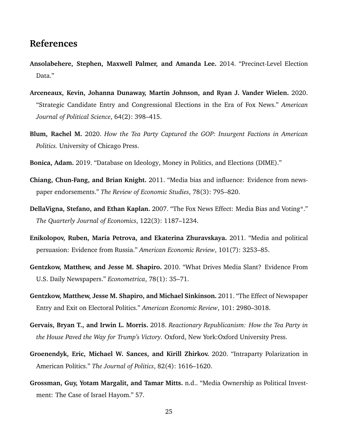## **References**

- <span id="page-24-10"></span>**Ansolabehere, Stephen, Maxwell Palmer, and Amanda Lee.** 2014. "Precinct-Level Election Data."
- <span id="page-24-11"></span>**Arceneaux, Kevin, Johanna Dunaway, Martin Johnson, and Ryan J. Vander Wielen.** 2020. "Strategic Candidate Entry and Congressional Elections in the Era of Fox News." *American Journal of Political Science*, 64(2): 398–415.
- <span id="page-24-6"></span>**Blum, Rachel M.** 2020. *How the Tea Party Captured the GOP: Insurgent Factions in American Politics.* University of Chicago Press.
- <span id="page-24-9"></span>**Bonica, Adam.** 2019. "Database on Ideology, Money in Politics, and Elections (DIME)."
- <span id="page-24-4"></span>**Chiang, Chun-Fang, and Brian Knight.** 2011. "Media bias and influence: Evidence from newspaper endorsements." *The Review of Economic Studies*, 78(3): 795–820.
- <span id="page-24-2"></span>**DellaVigna, Stefano, and Ethan Kaplan.** 2007. "The Fox News Effect: Media Bias and Voting\*." *The Quarterly Journal of Economics*, 122(3): 1187–1234.
- <span id="page-24-5"></span>**Enikolopov, Ruben, Maria Petrova, and Ekaterina Zhuravskaya.** 2011. "Media and political persuasion: Evidence from Russia." *American Economic Review*, 101(7): 3253–85.
- <span id="page-24-0"></span>**Gentzkow, Matthew, and Jesse M. Shapiro.** 2010. "What Drives Media Slant? Evidence From U.S. Daily Newspapers." *Econometrica*, 78(1): 35–71.
- <span id="page-24-3"></span>**Gentzkow, Matthew, Jesse M. Shapiro, and Michael Sinkinson.** 2011. "The Effect of Newspaper Entry and Exit on Electoral Politics." *American Economic Review*, 101: 2980–3018.
- <span id="page-24-7"></span>**Gervais, Bryan T., and Irwin L. Morris.** 2018. *Reactionary Republicanism: How the Tea Party in the House Paved the Way for Trump's Victory.* Oxford, New York:Oxford University Press.
- <span id="page-24-8"></span>**Groenendyk, Eric, Michael W. Sances, and Kirill Zhirkov.** 2020. "Intraparty Polarization in American Politics." *The Journal of Politics*, 82(4): 1616–1620.
- <span id="page-24-1"></span>**Grossman, Guy, Yotam Margalit, and Tamar Mitts.** n.d.. "Media Ownership as Political Investment: The Case of Israel Hayom." 57.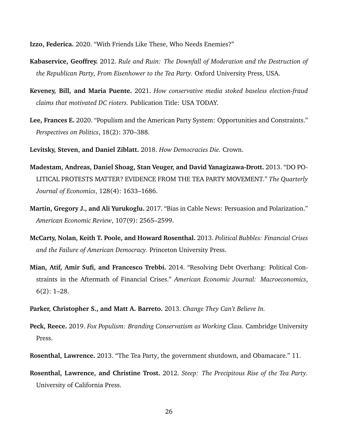<span id="page-25-7"></span>**Izzo, Federica.** 2020. "With Friends Like These, Who Needs Enemies?"

- <span id="page-25-2"></span>**Kabaservice, Geoffrey.** 2012. *Rule and Ruin: The Downfall of Moderation and the Destruction of the Republican Party, From Eisenhower to the Tea Party.* Oxford University Press, USA.
- <span id="page-25-12"></span>**Keveney, Bill, and Maria Puente.** 2021. *How conservative media stoked baseless election-fraud claims that motivated DC rioters.* Publication Title: USA TODAY.
- <span id="page-25-6"></span>**Lee, Frances E.** 2020. "Populism and the American Party System: Opportunities and Constraints." *Perspectives on Politics*, 18(2): 370–388.
- <span id="page-25-10"></span>**Levitsky, Steven, and Daniel Ziblatt.** 2018. *How Democracies Die.* Crown.
- <span id="page-25-1"></span>**Madestam, Andreas, Daniel Shoag, Stan Veuger, and David Yanagizawa-Drott.** 2013. "DO PO-LITICAL PROTESTS MATTER? EVIDENCE FROM THE TEA PARTY MOVEMENT." *The Quarterly Journal of Economics*, 128(4): 1633–1686.
- <span id="page-25-0"></span>**Martin, Gregory J., and Ali Yurukoglu.** 2017. "Bias in Cable News: Persuasion and Polarization." *American Economic Review*, 107(9): 2565–2599.
- <span id="page-25-8"></span>**McCarty, Nolan, Keith T. Poole, and Howard Rosenthal.** 2013. *Political Bubbles: Financial Crises and the Failure of American Democracy.* Princeton University Press.
- <span id="page-25-9"></span>**Mian, Atif, Amir Sufi, and Francesco Trebbi.** 2014. "Resolving Debt Overhang: Political Constraints in the Aftermath of Financial Crises." *American Economic Journal: Macroeconomics*, 6(2): 1–28.
- <span id="page-25-3"></span>**Parker, Christopher S., and Matt A. Barreto.** 2013. *Change They Can't Believe In.*
- <span id="page-25-11"></span>**Peck, Reece.** 2019. *Fox Populism: Branding Conservatism as Working Class.* Cambridge University Press.
- <span id="page-25-4"></span>**Rosenthal, Lawrence.** 2013. "The Tea Party, the government shutdown, and Obamacare." 11.
- <span id="page-25-5"></span>**Rosenthal, Lawrence, and Christine Trost.** 2012. *Steep: The Precipitous Rise of the Tea Party.* University of California Press.